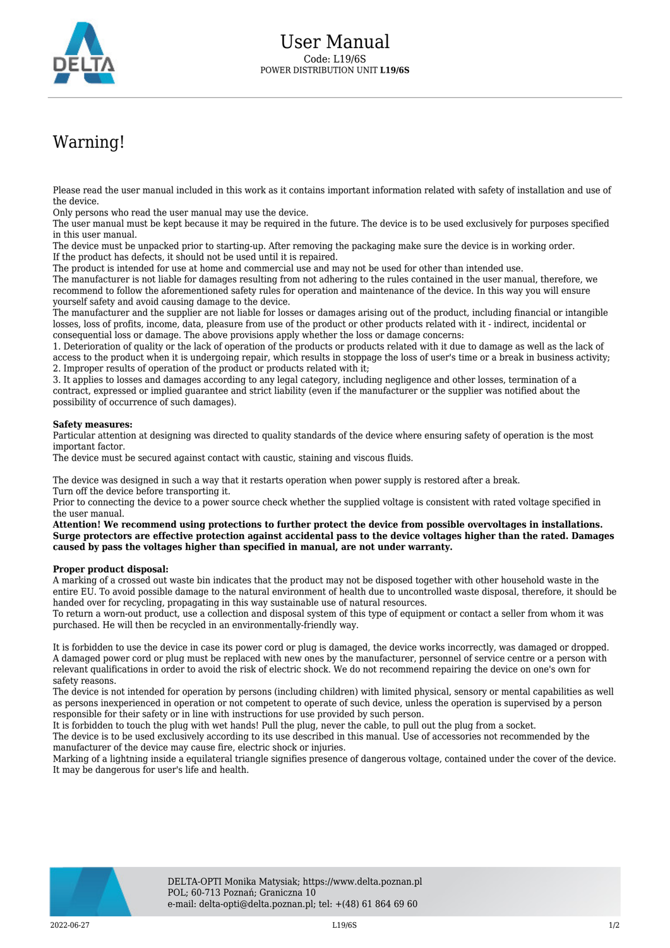

## Warning!

Please read the user manual included in this work as it contains important information related with safety of installation and use of the device.

Only persons who read the user manual may use the device.

The user manual must be kept because it may be required in the future. The device is to be used exclusively for purposes specified in this user manual.

The device must be unpacked prior to starting-up. After removing the packaging make sure the device is in working order. If the product has defects, it should not be used until it is repaired.

The product is intended for use at home and commercial use and may not be used for other than intended use.

The manufacturer is not liable for damages resulting from not adhering to the rules contained in the user manual, therefore, we recommend to follow the aforementioned safety rules for operation and maintenance of the device. In this way you will ensure yourself safety and avoid causing damage to the device.

The manufacturer and the supplier are not liable for losses or damages arising out of the product, including financial or intangible losses, loss of profits, income, data, pleasure from use of the product or other products related with it - indirect, incidental or consequential loss or damage. The above provisions apply whether the loss or damage concerns:

1. Deterioration of quality or the lack of operation of the products or products related with it due to damage as well as the lack of access to the product when it is undergoing repair, which results in stoppage the loss of user's time or a break in business activity; 2. Improper results of operation of the product or products related with it;

3. It applies to losses and damages according to any legal category, including negligence and other losses, termination of a contract, expressed or implied guarantee and strict liability (even if the manufacturer or the supplier was notified about the possibility of occurrence of such damages).

## **Safety measures:**

Particular attention at designing was directed to quality standards of the device where ensuring safety of operation is the most important factor.

The device must be secured against contact with caustic, staining and viscous fluids.

The device was designed in such a way that it restarts operation when power supply is restored after a break. Turn off the device before transporting it.

Prior to connecting the device to a power source check whether the supplied voltage is consistent with rated voltage specified in the user manual.

**Attention! We recommend using protections to further protect the device from possible overvoltages in installations. Surge protectors are effective protection against accidental pass to the device voltages higher than the rated. Damages caused by pass the voltages higher than specified in manual, are not under warranty.**

## **Proper product disposal:**

A marking of a crossed out waste bin indicates that the product may not be disposed together with other household waste in the entire EU. To avoid possible damage to the natural environment of health due to uncontrolled waste disposal, therefore, it should be handed over for recycling, propagating in this way sustainable use of natural resources.

To return a worn-out product, use a collection and disposal system of this type of equipment or contact a seller from whom it was purchased. He will then be recycled in an environmentally-friendly way.

It is forbidden to use the device in case its power cord or plug is damaged, the device works incorrectly, was damaged or dropped. A damaged power cord or plug must be replaced with new ones by the manufacturer, personnel of service centre or a person with relevant qualifications in order to avoid the risk of electric shock. We do not recommend repairing the device on one's own for safety reasons.

The device is not intended for operation by persons (including children) with limited physical, sensory or mental capabilities as well as persons inexperienced in operation or not competent to operate of such device, unless the operation is supervised by a person responsible for their safety or in line with instructions for use provided by such person.

It is forbidden to touch the plug with wet hands! Pull the plug, never the cable, to pull out the plug from a socket.

The device is to be used exclusively according to its use described in this manual. Use of accessories not recommended by the manufacturer of the device may cause fire, electric shock or injuries.

Marking of a lightning inside a equilateral triangle signifies presence of dangerous voltage, contained under the cover of the device. It may be dangerous for user's life and health.